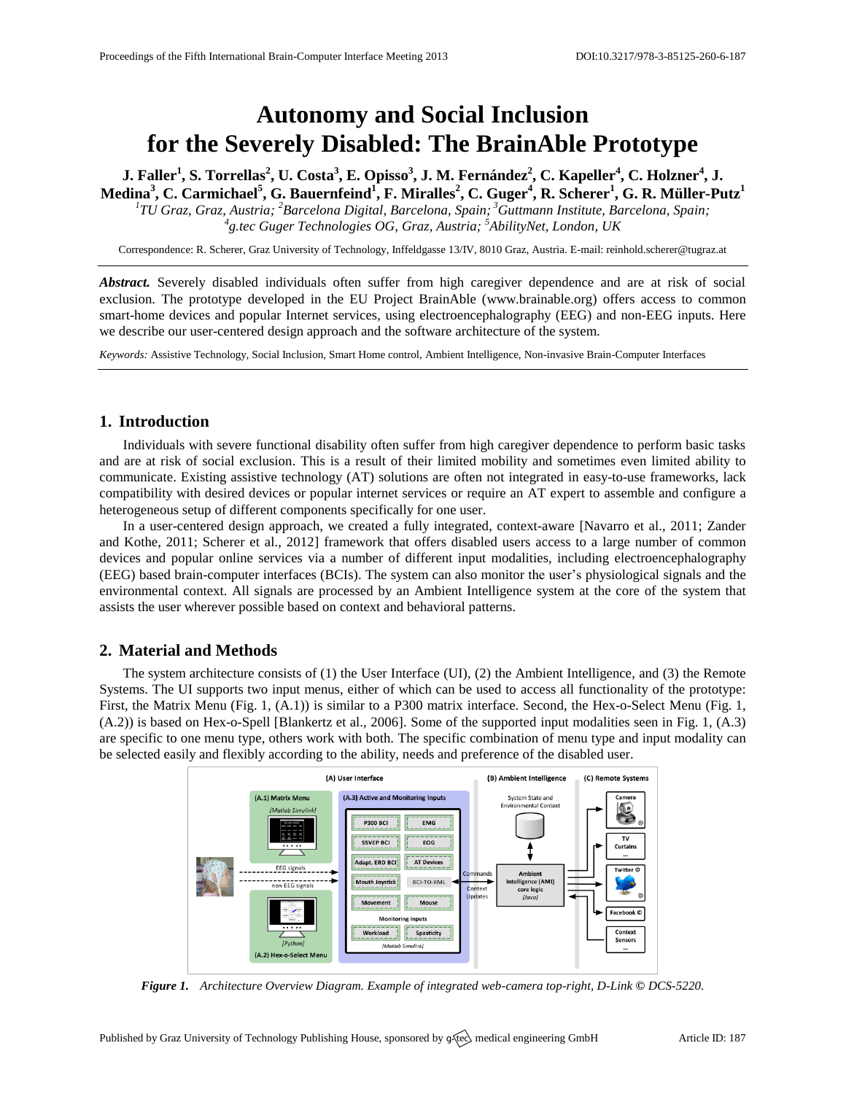# **Autonomy and Social Inclusion for the Severely Disabled: The BrainAble Prototype**

J. Faller<sup>1</sup>, S. Torrellas<sup>2</sup>, U. Costa<sup>3</sup>, E. Opisso<sup>3</sup>, J. M. Fernández<sup>2</sup>, C. Kapeller<sup>4</sup>, C. Holzner<sup>4</sup>, J. **Medina<sup>3</sup> , C. Carmichael<sup>5</sup> , G. Bauernfeind<sup>1</sup> , F. Miralles<sup>2</sup> , C. Guger<sup>4</sup> , R. Scherer<sup>1</sup> , G. R. Müller-Putz<sup>1</sup>**

*1 TU Graz, Graz, Austria; <sup>2</sup>Barcelona Digital, Barcelona, Spain; <sup>3</sup>Guttmann Institute, Barcelona, Spain; 4 g.tec Guger Technologies OG, Graz, Austria; <sup>5</sup>AbilityNet, London, UK*

Correspondence: R. Scherer, Graz University of Technology, Inffeldgasse 13/IV, 8010 Graz, Austria. E-mail: [reinhold.scherer@tugraz.at](mailto:reinhold.scherer@tugraz.at)

*Abstract.* Severely disabled individuals often suffer from high caregiver dependence and are at risk of social exclusion. The prototype developed in the EU Project BrainAble [\(www.brainable.org\)](http://www.brainable.org/) offers access to common smart-home devices and popular Internet services, using electroencephalography (EEG) and non-EEG inputs. Here we describe our user-centered design approach and the software architecture of the system.

*Keywords:* Assistive Technology, Social Inclusion, Smart Home control, Ambient Intelligence, Non-invasive Brain-Computer Interfaces

# **1. Introduction**

Individuals with severe functional disability often suffer from high caregiver dependence to perform basic tasks and are at risk of social exclusion. This is a result of their limited mobility and sometimes even limited ability to communicate. Existing assistive technology (AT) solutions are often not integrated in easy-to-use frameworks, lack compatibility with desired devices or popular internet services or require an AT expert to assemble and configure a heterogeneous setup of different components specifically for one user.

In a user-centered design approach, we created a fully integrated, context-aware [Navarro et al., 2011; Zander and Kothe, 2011; Scherer et al., 2012] framework that offers disabled users access to a large number of common devices and popular online services via a number of different input modalities, including electroencephalography (EEG) based brain-computer interfaces (BCIs). The system can also monitor the user's physiological signals and the environmental context. All signals are processed by an Ambient Intelligence system at the core of the system that assists the user wherever possible based on context and behavioral patterns.

### **2. Material and Methods**

The system architecture consists of (1) the User Interface (UI), (2) the Ambient Intelligence, and (3) the Remote Systems. The UI supports two input menus, either of which can be used to access all functionality of the prototype: First, the Matrix Menu (Fig. 1, (A.1)) is similar to a P300 matrix interface. Second, the Hex-o-Select Menu (Fig. 1, (A.2)) is based on Hex-o-Spell [Blankertz et al., 2006]. Some of the supported input modalities seen in Fig. 1, (A.3) are specific to one menu type, others work with both. The specific combination of menu type and input modality can be selected easily and flexibly according to the ability, needs and preference of the disabled user.



*Figure 1. Architecture Overview Diagram. Example of integrated web-camera top-right, D-Link © DCS-5220.*